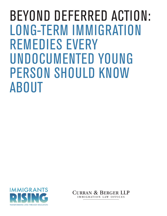BEYOND DEFERRED ACTION: LONG-TERM IMMIGRATION REMEDIES EVERY UNDOCUMENTED YOUNG PERSON SHOULD KNOW ABOUT



Curran & Berger LLP IMMIGRATION LAW OFFICES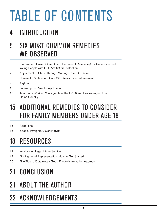# TABLE OF CONTENTS

## INTRODUCTION

## 5 SIX MOST COMMON REMEDIES WE OBSERVED

- 6 Employment-Based Green Card (Permanent Residency) for Undocumented Young People with LIFE Act (245i) Protection
- Adjustment of Status through Marriage to a U.S. Citizen
- U-Visas for Victims of Crime Who Assist Law Enforcement
- Asylum
- Follow-up on Parents' Application
- 13 Temporary Working Visas (such as the H-1B) and Processing in Your Home Country

## 15 ADDITIONAL REMEDIES TO CONSIDER FOR FAMILY MEMBERS UNDER AGE 18

- Adoptions
- Special Immigrant Juvenile (SIJ)

## RESOURCES

- **Immigration Legal Intake Service**
- Finding Legal Representation: How to Get Started
- Five Tips to Obtaining a Good Private Immigration Attorney

## CONCLUSION

## ABOUT THE AUTHOR

## ACKNOWLEDGEMENTS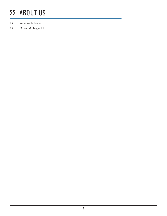## ABOUT US

- Immigrants Rising
- Curran & Berger LLP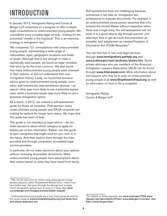## INTRODUCTION

In January 2012, Immigrants Rising and Curran & Berger LLP embarked on a program to offer in-depth legal consultations to undocumented young people. We considered every possible legal remedy - looking for the proverbial "needle in the haystack." This is an essential strategy in immigration law.<sup>1</sup>

We completed 121 consultations with undocumented young people, representing a wide range of nationalities, ages, geographic locations and fields of study.2 Although that is not enough to make a statistically valid sample, we found six legal remedies that were by far the most common. We also found that many undocumented young people were unaware of their options, or did not understand their own immigration history. Lastly, we found that previous advice given to undocumented young people, even when well-intentioned, was sometimes skewed – an asylum clinic was more likely to see a potential asylum case, while a business lawyer was more likely to see a business immigration option.

As a result, in 2012, we created a self-assessment guide for those six remedies. Post-election, many undocumented young people and DACA recipients are looking for options for longer term status. We hope that this guide has been of help.

This guide is not intended as legal advice – do not make decisions about which category to apply for based just on this information. Rather, use this guide to spot categories that might work for you, now or in the future. And then explore them through the links provided and through competent, accredited legal service providers.

In particular, do not make decisions about your options without reviewing all possible documents. Many undocumented young people have assumptions about their status based on what they have heard from family. Self-assessment tools are challenging because sometimes it can take an immigration law professional to evaluate documents. For example, if an undocumented young person assumes that s/he entered the United States without inspection when there was a legal entry, the self-assessment will not work. It is a good idea to dig through parents' and attorneys' files to get as much documentation as possible, and supplement as needed Freedom of Information Act (FOIA) Requests.3

You can find free or low cost legal services through [www.ImmigrationLawHelp.org](http://www.ImmigrationLawHelp.org/) and [www.justice.gov/eoir/probono/states.htm](file:///Users/adrienneaquino/Documents/Ade_Business/Jobs/E4FC/Guides/Beyond%20Deferred%20Action/links/www.justice.gov/eoir/probono/states.htm). Some private attorneys who are members of the American Immigration Lawyers Association (AILA) can be found through [www.AilaLawyer.com](file:///Users/adrienneaquino/Documents/Ade_Business/Jobs/E4FC/Guides/Beyond%20Deferred%20Action/links/www.AilaLawyer.com). More information about non-lawyers who may try to prey on undocumented young people is at [www.StopNotarioFraud.org](http://www.stopnotariofraud.org/#_blank) as well as information on how to file a complaint.

Immigrants Rising Curran & Berger LLP

<sup>&</sup>lt;sup>1</sup> This can be seen from an article many years ago for foreign student advisers called "Employment-Based Visas - there must be a better way" that goes through the strange and complex mix of immigration options from A visas to V visas. See [www.](http://curranberger.com/images/articles/better-way.pdf) [curranberger.com/images/articles/better-way.pdf](http://curranberger.com/images/articles/better-way.pdf).

<sup>2</sup> Undocumented young people are a very mixed group as seen by the recent study at [www.immigrationpolicy.org/just-facts/who](http://www.immigrationpolicy.org/just-facts/who-and-where-dreamers-are)[and-where-dreamers-are](http://www.immigrationpolicy.org/just-facts/who-and-where-dreamers-are).

<sup>&</sup>lt;sup>3</sup> For details on these requests, see [www.uscis.gov/FOIA](http://www.uscis.gov/FOIA) [www.](http://www.cbp.gov/xp/cgov/admin/fl/foia/) [cbp.gov/xp/cgov/admin/fl/foia/](http://www.cbp.gov/xp/cgov/admin/fl/foia/) [www.state.gov/m/a/ips/,](http://www.state.gov/m/a/ips/) and [http://www.ice.gov/foia/](http://www.ice.gov/foia).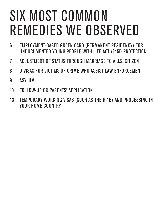# SIX MOST COMMON REMEDIES WE OBSERVED

- 6 EMPLOYMENT-BASED GREEN CARD (PERMANENT RESIDENCY) FOR UNDOCUMENTED YOUNG PEOPLE WITH LIFE ACT (245I) PROTECTION
- 7 ADJUSTMENT OF STATUS THROUGH MARRIAGE TO A U.S. CITIZEN
- 8 U-VISAS FOR VICTIMS OF CRIME WHO ASSIST LAW ENFORCEMENT
- 9 ASYLUM
- 10 FOLLOW-UP ON PARENTS' APPLICATION
- 13 TEMPORARY WORKING VISAS (SUCH AS THE H-1B) AND PROCESSING IN YOUR HOME COUNTRY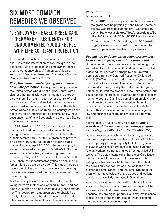## SIX MOST COMMON REMEDIES WE OBSERVED

#### 1. EMPLOYMENT-BASED GREEN CARD (PERMANENT RESIDENCY) FOR UNDOCUMENTED YOUNG PEOPLE WITH LIFE ACT (245I) PROTECTION

This remedy is much more common than expected, and involves the intersection of two immigration law concepts – 245i protection and employment-based green card sponsorship. (A "green card" is also known as "Permanent Residency" or being a "Lawful Permanent Resident" or "LPR.")

*First, the undocumented young person must have 245i protection.* Usually, someone present in the United States who did not originally enter with a visa (or other permission) cannot complete a green card without first returning to his/her country of origin. In many cases, s/he must wait abroad to process a waiver – asking to be excused for being in the United States without status. Returning to a country s/he does not know, for an indefinite period of time, and without assurance that s/he will get back into the United States is scary to say the least.

In 1994, 1998 and 2001, Congress passed a law that had allowed undocumented immigrants to finish their green card process in the United States if they or their parents had STARTED a green card process by a certain date. The last deadline to have had a petition filed was April 30, 2001. So, for example, if an undocumented young person's father's U.S. citizen sister had started a (very slow) sibling green card process by filing an I-130 relative petition by April 30, 2001, then that undocumented young person and his father might be covered by 245i. This may still be true even if the sibling green card petition is still pending today, or was abandoned (perhaps because the sister passed away).

Another example would be that the undocumented young person's mother was working in 2000, and her employer started an employment-based green card for her. The receipt from that green card (probably filed initially with the state labor department) could lead to 245i protection for the mother and the undocumented

young person.

A few points to note:

\*\*The 2001 law also required that the beneficiary of the green card be physically in the United States on the day Congress passed the law - December 20, 2000. See [www.uscis.gov/files/pressrelease/Se](http://www.uscis.gov/files/pressrelease/Section245ProvisionLIFEAct_032301.pdf) [ction245ProvisionLIFEAct\\_032301.pdf](http://www.uscis.gov/files/pressrelease/Section245ProvisionLIFEAct_032301.pdf) for details.

\*\* Everyone using 245i must pay a \$1000 penalty to get a green card and qualify under the regular visa and permanent residency requirements.

#### *Second, the undocumented young person must have an employer-sponsor for a green card.*

Undocumented young people are a compelling group with which to work because their 'dreams' often include higher education. Aided perhaps by a future work permit card from the Deferred Action for Childhood Arrivals (DACA) program, undocumented young people may be able to find an employer sponsor for a green card. As discussed, usually the undocumented young person could start the process in the United States, but could not get the green card without going back to his/ her home country. But, if you combine an employmentbased green card with 245i protection, the entire process can be safely completed within the United States. This intersection of humanitarian immigration law and business immigration law can be a powerful tool.

#### For this guide, it will be useful to provide a *basic overview of the main employment-based green card category - Alien Labor Certification (LC).*

LC is a process by which an employer may sponsor an employee for permanent residence. Almost all full-time, non-temporary jobs might qualify for LC. The goal of the Labor Certification Process is to make sure that foreign workers are not taking jobs from qualified U.S. workers. The actual standard is that Labor Certification will be granted if there are no U.S. workers "able. willing, qualified and available" to accept the job at the prevailing wage for that occupation in the area of intended employment, and that employment of the alien will not adversely affect the wages and working conditions of similarly employed U.S. workers.

As you can imagine, a higher skilled job, requiring an advanced degree or years of work experience, will be an easier case. And those cases will also go faster because they are higher priority. So, it may make sense to use this as a longer-term plan, to try after getting more education or some job experience.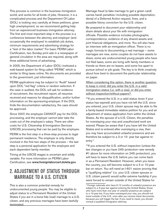This process is common in the business immigration world, and works for all kinds of jobs. However, it is a complicated process and the Department Of Labor (DOL) is looking very carefully at these petitions, given high unemployment, so we recommend getting help from an experienced business immigration attorney. The first and most important step in the process is a conference between the attorney and employer (and occasionally the employee) to establish job duties, minimum requirements and advertising strategy for a "test of the labor market." For basic PERM Labor Certification, two Sunday print ads in a newspaper of general circulation in the area are required, along with three additional forms of advertising.

In 2005, the Department of Labor (DOL) instituted a web-based system for filing called "PERM," which is similar to filing taxes online. No documents are provided to the government, just information.

PERM applications may be subject to "Audit" based upon DOL "red flag" criteria or random selection. If the case is audited, the DOL will ask for evidence of recruitment, the recruitment report, all resumes received and reasons for disqualification, and/or further information on the sponsoring-employer. If the DOL finds the documentation satisfactory, the case should be approved.

Since 2007, the employee CANNOT pay for the DOL processing, and the employer cannot later take the costs out of the employee's salary. There are other costs for U.S. Citizenship & Immigration Services (USCIS) processing that can be paid by the employee.

PERM is the first step in a three-step process to legal permanent residence. The employer is only directly involved in the first two steps of the process – the last step is a personal application for the employee and each dependent family member.

Timing at the USCIS stages is uncertain and wildly variable. For more information on PERM Labor Certification, see <www.foreignlaborcert.doleta.gov>.

#### 2. ADJUSTMENT OF STATUS THROUGH MARRIAGE TO A U.S. CITIZEN

This is also a common potential remedy for undocumented young people. You may be eligible to adjust status to a Permanent Resident of the United States if you are in a bona fide (real) marriage to a U.S. citizen, and any previous marriages have been lawfully terminated.

Marriage fraud (a fake marriage to get a green card) carries harsh penalties—including possible deportation, denial of a Deferred Action request, fines, and a possible felony conviction for the U.S. citizen.

Be prepared to document your relationship and share details about your life with immigration officials. Possible evidence includes photographs, correspondence, evidence of any shared assets and joint financial obligations, and more. You will also have an interview with an immigration officer. There is no magic formula to documenting a real marriage – some marriages are new, some couples do not have assets to share, some are undocumented young people who have not filed taxes, some are living with family members or friends so there are no leases, and some live apart to pursue school or job goals. The key is to think creatively about how best to document the particular relationship on paper.

When considering this option, there is another question to keep in mind: did you enter the U.S. in a valid immigration status (i.e. with a visa), or did you enter without inspection/without papers?

\*\*If you entered the U.S. in a valid status (even if your status has expired) and you have not left the U.S. since you entered, your U.S. citizen spouse may be able to file a family-based immediate relative petition for you and an adjustment of status application from within the United States. As the spouse of a U.S. Citizen, the penalties for overstaying your visa and unauthorized work are waived. Please be aware that if you have left the United States and re-entered after overstaying a visa, then you may have accumulated unlawful presence and are therefore be subject to a 3 or 10- year bar against reentry.4

\*\*If you entered the U.S. without inspection (unless the law changes or you have 245i protection—see remedy #1 above for more information on 245i protection), you will have to leave the U.S. before you can come back in as a Permanent Resident. However, when you leave the country, you will become subject to a 3 or 10-year bar on return. You will need an I-601 waiver proving that a "qualifying relative" (i.e. your U.S. citizen spouse or U.S. citizen parent) would suffer extreme hardship if you were forced to remain outside of the United States for

<sup>4</sup> Foreign nationals who have 6-12 months of unlawful presence are subject to a 3-year bar against entering the United States; those who have more than one year of unlawful presence are subject to a 10-year bar. If you have overstayed your visa, you should not travel outside of the U.S., even after you receive travel documents, because you will trigger the bar. If you need to travel, you should consult a qualified immigration attorney.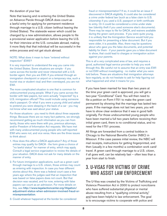the duration of your bar.

Note that leaving and re-entering the United States on Advance Parole through DACA does count as a lawful entry for applying for permanent residence through marriage to a U.S. citizen (without leaving the United States). The stateside waiver which could be changed by a new administration, allows people to file a provisional waiver application before leaving the U.S. for their interview at the U.S. consulate abroad, making it more likely that that individual will be successful in the entire process and not get stuck abroad.

#### NOTE: What does it mean to have "entered without inspection" (EWI)?

It is very important to understand the way you came into the United States. Some situations are simple - if you came across the border and never interacted with a U.S. border agent, then you are EWI. If you entered through an immigration checkpoint or airport on a temporary visa, such a tourist visa or student visa) and then overstayed, you are not EWI.

The more complicated situation is one that is common for undocumented young people. What if you came across the border with fake papers, but were actually "inspected" by a U.S. immigration official? This could include using someone else's passport. Or what if you were a young child and asked to pretend you were sleeping in the back of a car - you may not know what was said about your status.

For those situations - you need to think about three separate things. Because there are so many fact patterns, we strongly recommend getting as much information as you can from family, those who were there with you, previous attorneys, and/or Freedom of Information Act requests. We have met with many undocumented young people who self-reported EWI who were not, and vice versa. Here are the three issues to think about:

- 1. How does this affect a DACA application? Any of those entries may qualify for DACA - the form gives a choice of "no lawful status" for manner of entry, which may apply. Consult a legal service organization to review the details of your situation. DACA does not ask for many details on the manner of entry.
- 2. For future immigration applications, such as a green card through marriage to a U.S. citizen, those entries may count as entering with inspection. In case you hear different stories about this, there was a federal court case a few years ago where the judges said that an inspection that was based on false papers does not count. But that decision was vacated, and for now, entering with false papers can count as an admission. For more details on this, see [http://www.legalactioncenter.org/litigation/](http://www.legalactioncenter.org/litigation/adjustment) [adjustment-](http://www.legalactioncenter.org/litigation/adjustment)status-when-admission-involved-fraud-ormisrepresentation.
- 3. Could whatever happened at the border be considered

fraud or misrepresentation? If so, it could be an issue if discovered in DACA eligibility. It could also be considered a crime under federal law (such as a false claim to U.S. citizenship if you used a U.S. passport or birth certificate to entry. Or it could be considered a crime under state law (identity theft if you used someone else's documents). There may be ways to file for DACA, and waivers available during the green card process. If you were quite young, it is unlikely that the Immigration Service would hold you responsible for presenting a false document. But if you were older, it is possible. Also, there may be questions about who gave you the false documents, and potential liability for them - if your parents gave you a false document to show, that could lead to charges or immigration action against your parents.

This is all a very complicated area of law, and requires a good, authorized legal service provider to help you work through this. Be careful not to assume that an entry was EWI or not EWI without investigating - no matter what you were told before. These are situations that immigration attorneys face regularly, so do not hesitate to ask for help figuring out what happened and what it means for you.

If you have been married for less than two years at the time your green card is approved, you will get a two-year "Conditional" Card. You will then need to file a petition on Form I-751 to make the green card permanent by showing that the marriage has lasted two years. If the marriage does not last two years, you will have to show clear evidence that it was in good faith originally. For those undocumented young people who have been married a full two years before receiving their initial green card, there is no conditional status, and no need for the I-751 process.

All filings are forwarded from a central lockbox in Chicago to the National Benefits Center (NBC) in Missouri. If the case passes initial review, the NBC will mail receipts, instructions for getting fingerprinted, and then (usually in a few months) a combination work card/ travel. A green card through marriage to a U.S. citizen, if all goes well, can be relatively fast – often less than a year from start to finish.

#### 3. U-VISAS FOR VICTIMS OF CRIME WHO ASSIST LAW ENFORCEMENT

The U-Visa was created by the Victims of Trafficking and Violence Prevention Act in 2000 to protect noncitizens who have suffered substantial physical or mental abuse resulting from a "qualifying criminal activity," and have been helpful to law enforcement. The goal is to encourage victims to cooperate with police and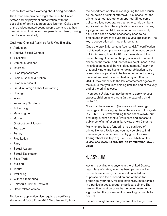prosecutors without worrying about being deported.

The U-visa can provide a legal status in the United States and employment authorization, with the possibility of getting a green card later on. Quite a few of the undocumented young people we talked to had been victims of crime, or their parents had been, making the U-visa a possibility.

Qualifying Criminal Activities for U-Visa Eligibility

- » Abduction
- » Abusive Sexual Contact
- » Blackmail
- » Domestic Violence
- » Extortion
- » False Imprisonment
- » Female Genital Mutilation
- » Felonious Assault
- » Fraud in Foreign Labor Contracting
- » Hostage
- » Incest
- » Involuntary Servitude
- » Kidnapping
- » Manslaughter
- » Murder
- » Obstruction of Justice
- » Peonage
- » Perjury
- » Prostitution
- » Rape
- » Sexual Assault
- » Sexual Exploitation
- » Slave Trade
- » Stalking
- » Torture
- » Trafficking
- » Witness Tampering
- » Unlawful Criminal Restraint
- » Other related crimes

The U-visa application also requires a certifying statement (USCIS Form I-918 Supplement B) from the department or official investigating the case (such as the police or district attorney). This means that the crime must not have gone unreported. Since some police are less cooperative than others, this can be a significant hurdle in the application. In some counties, a judge or even a child protection office can certify a U-visa; a case doesn't necessarily need to be prosecuted in order to support a U-visa application. The key is cooperation with law enforcement.

Once the Law Enforcement Agency (LEA) certification is obtained, a comprehensive application must be sent to USCIS using Form I-918. Documentation of the crime, the significance of the physical and/ or mental abuse on the victim, and the victim's helpfulness in the investigation must all be well documented. A survivor of a qualifying crime has an ongoing obligation to be reasonably cooperative if the law enforcement agency has a future need for victim testimony or other help. USCIS may check with the law enforcement agency to make sure that you kept helping until the end of the very end of the criminal case.

If you get a U-visa, you may be able to apply for your spouse, children, and parent (in the case of a child under 16).

Note that there are long (two years and growing) backlogs in this category. As of the update of this guide in 2016, USCIS was working these cases slowly, but providing interim benefits (work card and access to public benefits) after an initial review of 6-12 months.

Many nonprofits are funded to help survivors of crimes file for a U-visa and you may be able to find one near you at no or low cost by going to [www.](http://www.ImmigrationLawHelp.org/) [ImmigrationLawHelp.org](http://www.ImmigrationLawHelp.org/). For more details on the U-visa, see [www.ilrc.org/info-on-immigration-law/u](file:///Users/adrienneaquino/Documents/Ade_Business/Jobs/E4FC/Guides/Beyond%20Deferred%20Action/links/www.ilrc.org/info-on-immigration-law/u-visas)[visas](file:///Users/adrienneaquino/Documents/Ade_Business/Jobs/E4FC/Guides/Beyond%20Deferred%20Action/links/www.ilrc.org/info-on-immigration-law/u-visas).

### 4. ASYLUM

Asylum is available to anyone in the United States, regardless of status, who has been persecuted in his/her home country or has a well-founded fear of persecution there, based on one of these five groupings: your race, religion, nationality, membership in a particular social group, or political opinion. The persecution must be done by the government, or by a group that the government is unwilling or unable to control.

It is not enough to say that you are afraid to go back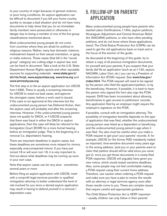to your country of origin because of general violence, or poor living conditions. An asylum application can be difficult to document if you left your home country quickly to escape a bad situation and do not have many documents to help show that you (or an immediate family member) were persecuted or otherwise in danger due to being a member of one of the five group classifications mentioned above.

Most undocumented young people do not come from countries where they are afraid for political or religious reasons. Rather, many fear domestic violence, mistreatment based on their sexual orientation, or gang or mafia violence. These cases (that fall in the "social group" category) are cutting edge in asylum law, and can be hard to document. Take a look at the U.S. State Department Human Rights reports and other reputable sources for supporting materials - [www.state.gov/j/](file:///Users/adrienneaquino/Documents/Ade_Business/Jobs/E4FC/Guides/Beyond%20Deferred%20Action/links/www.state.gov/j/drl/rls/hrrpt/) [drl/rls/hrrpt](file:///Users/adrienneaquino/Documents/Ade_Business/Jobs/E4FC/Guides/Beyond%20Deferred%20Action/links/www.state.gov/j/drl/rls/hrrpt/), [www.asylumlaw.org](file:///Users/adrienneaquino/Documents/Ade_Business/Jobs/E4FC/Guides/Beyond%20Deferred%20Action/links/www.asylumlaw.org), [www.hrw.org](file:///Users/adrienneaquino/Documents/Ade_Business/Jobs/E4FC/Guides/Beyond%20Deferred%20Action/links/www.hrw.org/) and [www.amnestyusa.org](file:///Users/adrienneaquino/Documents/Ade_Business/Jobs/E4FC/Guides/Beyond%20Deferred%20Action/links/www.amnestyusa.org/)

The first step is to file an asylum application (on USCIS form I-589). There is usually a screening interview for USCIS to weed out bad cases, and approve the strongest cases, before a work card is issued. If the case is not approved at this interview but the undocumented young person has Deferred Action, then the asylum case will probably end after the screening interview. However, if the undocumented young person does not qualify for DACA, or if USCIS suspects that there was fraud in either the DACA or asylum applications, then the case will likely be referred to the Immigration Court (EOIR) for a more formal hearing before an immigration judge. That is the beginning of a removal (i.e. deportation) hearing.

There are important deadlines in asylum cases, but these deadlines are sometimes more relaxed for minors, especially unaccompanied minors. If you have just turned 18 or will soon turn 18, it is very important to find out about what deadlines may be coming up soon in your own case.

Note that asylum cases can be very slow - sometimes several years or more.

Before filing an asylum application with USCIS, meet with a nonprofit legal services provider or qualified immigration attorney to better understand the level of risk involved for you since a denied asylum application may result in having to defend yourself in a removal / deportation case.

#### 5. FOLLOW-UP ON PARENTS' APPLICATION

Many undocumented young people have parents who started Labor Certifications, I-130s, asylum petitions, Nicaraguan Adjustment and Central American Relief Act (NACARA) petitions, or who have other pending petitions, and do not know where those applications stand. The Child Status Protection Act (CSPA) can be used to get the old applications back on track and is the focus of this section of the guide.

As discussed at the beginning of this guide, try to obtain a copy of all previous immigration documents, for yourself and your parents. If you suspect that your family did file an application (such as an I-130, asylum, NACARA, Labor Cert, etc.) you can try a Freedom of Information Act (FOIA) request. See [www.foia.gov/](file:///Users/adrienneaquino/Documents/Ade_Business/Jobs/E4FC/Guides/Beyond%20Deferred%20Action/links/../../../../Documents and Settings/dberger/My Documents/Downloads/www.foia.gov/index.html.) [index.html.](file:///Users/adrienneaquino/Documents/Ade_Business/Jobs/E4FC/Guides/Beyond%20Deferred%20Action/links/../../../../Documents and Settings/dberger/My Documents/Downloads/www.foia.gov/index.html.) The FOIA request will need to be signed by the person who filed the application/petition, or by the beneficiary. However, if possible, it is best to have the person who signed the form also sign the FOIA request. DHS has been inconsistent about allowing beneficiaries to gain access to petitioners' records. Any application filed by an employer might require the employer's signature on the FOIA.

If possible, consult with an immigration attorney. The possibility of immigration benefits depends on the type of application that was filed, whether the undocumented young person was listed as a dependent or beneficiary, and the undocumented young person's age when it was filed. You also must be careful when you make a FOIA request to get your/ your parents' records. If, for example, USCIS (or the former INS) mistakenly mailed an important, time-sensitive document many years ago to the wrong address, (and you or your parents want to claim that petition should still be valid since you never got it), once you get those documents in a newly-filed FOIA response, USCIS will arguably have given you new notice, which would restart sensitive deadlines. Also, some people may not feel comfortable making a FOIA request using their current home address. Therefore, use caution when ordering a FOIA request and make sure you have a plan to review the results with an attorney or legal services agency soon after those results come to you. These are complex issues that require careful and appropriate guidance.

The Child Status Protection Act is VERY important – usually children can only follow in their parents'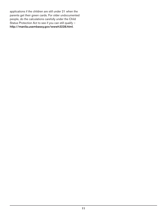applications if the children are still under 21 when the parents get their green cards. For older undocumented people, do the calculations carefully under the Child Status Protection Act to see if you can still qualify – http://manila.usembassy.gov/wwwh3228.html.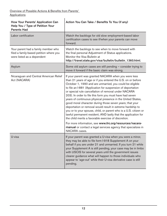| How Your Parents' Application Can<br>Help You / Type of Petition Your<br><b>Parents Had</b>                  | Action You Can Take / Benefits To You (if any)                                                                                                                                                                                                                                                                                                                                                                                                                                                                                                                                                                                                                                                                                                                                                                                                                                                           |
|--------------------------------------------------------------------------------------------------------------|----------------------------------------------------------------------------------------------------------------------------------------------------------------------------------------------------------------------------------------------------------------------------------------------------------------------------------------------------------------------------------------------------------------------------------------------------------------------------------------------------------------------------------------------------------------------------------------------------------------------------------------------------------------------------------------------------------------------------------------------------------------------------------------------------------------------------------------------------------------------------------------------------------|
| Labor certification                                                                                          | Watch the backlogs for old slow employment-based labor<br>certification cases to see if/when your parents can move<br>forward.                                                                                                                                                                                                                                                                                                                                                                                                                                                                                                                                                                                                                                                                                                                                                                           |
| Your parent had a family member who<br>filed a family-based petition where you<br>were listed as a dependent | Watch the backlogs to see when to move forward with<br>the final personal Adjustment of Status applications.<br>Monitor the Visa Bulletin at<br>http://travel.state.gov/visa/bulletin/bulletin_1360.html.                                                                                                                                                                                                                                                                                                                                                                                                                                                                                                                                                                                                                                                                                                |
| Asylum                                                                                                       | Some old asylum cases are still pending - consider trying to<br>move it forward if the basic claim was strong.                                                                                                                                                                                                                                                                                                                                                                                                                                                                                                                                                                                                                                                                                                                                                                                           |
| Nicaraguan and Central American Relief<br>Act (NACARA)                                                       | If your parent was granted NACARA when you were less<br>than 21 years of age or if you entered the U.S. on or before<br>October 1, 1990 and are unmarried, you could be eligible<br>to file an I-881 (Application for suspension of deportation<br>or special rule cancellation of removal under NACARA<br>203). In order to file this form you must have had seven<br>years of continuous physical presence in the United States,<br>good moral character during those seven years; that your<br>deportation or removal would result in extreme hardship to<br>you or to your spouse, child, or parent who is a U.S. citizen or<br>lawful permanent resident; AND lastly that the application for<br>the child merits a favorable exercise of discretion.<br>For more information, see www.ilrc.org/resources/nacara-<br>manual or contact a legal services agency that specializes in<br>NACARA cases. |
| U-visa                                                                                                       | If your parent was granted a U-visa when you were a minor,<br>they may be able to file form I-918 Supplement A on your<br>behalf if you are under 21 and unmarried. If you turn 21 while<br>your Supplement A is still pending, your case may be in limbo<br>with USCIS for several years until the government issues<br>clearer guidance what will happen to those individuals who<br>appear to 'age-out' while their U-visa derivative case is still<br>pending.                                                                                                                                                                                                                                                                                                                                                                                                                                       |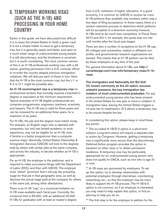#### 6. TEMPORARY WORKING VISAS (SUCH AS THE H-1B) AND PROCESSING IN YOUR HOME COUNTRY

Earlier in this guide, we have discussed how difficult it is to leave the United States to finish a green card. It is not a simple matter to leave to get a temporary visa, but it is generally easier and faster, and open to a much wider range of undocumented young people. It is still discretionary, and the timeframe is uncertain, but it is worth considering. The most common version of this is an H-1B professional working visa, with a d3 waiver, granting permission from a U.S. consular officer to re-enter the country despite previous immigration violations. We will discuss each of these in turn. Note that the H-1B is the most common visa, but the L-1 or E-2 or O-1 might be possible also.

An H-1B nonimmigrant visa is a temporary visa for professional workers that normally requires a bachelor's degree or equivalent at the minimum requirement. Typical examples of H-1B eligible professionals are computer programmers, engineers, teachers, scientists, and lawyers. The H-1B visa is valid for three years and can be renewed for an additional three years, for a maximum of six years.

For H-1Bs, the job and the degree must match nicely. For example, an English major who is talented with computers, but only has limited academic or work experience, may not be eligible for an H-1B, even if he/she is a better programmer than a computer science major. Generally, United States Citizenship & Immigration Services (USCIS) will look to the degrees held by others with similar jobs at the same company, and across the industry, to decide whether an H-1B is appropriate.

For an H-1B, the employer is the petitioner, and is required to make successive filings with the Department of Labor (DOL) and then with USCIS. The employer must "attest" (promise) that it will pay the prevailing wage for that job in that geographic area, as well as disclose the actual wage paid at the company for others in the same job, among other attestations.

There is an H-1B "cap," or a numerical limitation on H-1B visas available each fiscal year. Currently, the numerical limit is 65,000, with an additional 20,000 H-1Bs for graduates with at least at master's degree from a U.S. institution of higher education. In a good economy, it is common for USCIS to receive far more H-1B petitions than available visa numbers within only a few days of filing acceptance. In these cases, there is a random selection process to determine which petitions will be accepted. In a downturn economy however, H-1Bs tend to be much less competitive. In Fiscal Years 2010 and 2011, for example, the quota was not met until months after the fiscal year began.

There are also a number of exceptions to the H-1B cap. All colleges and universities, related or affiliated nonprofits, and governmental research organizations are exempt. This means that an H-1B petition can be filed by these employers at any time of the year.

For general information about H-1Bs, see [http://](http://curranberger.com/content/view/35/67/) [curranberger.com/](http://curranberger.com/content/view/35/67/)visa-info/temporary-visas/h-1bvisas

The Immigration and Nationality Act §212(d) (3), known commonly as the d3 option, excuses unlawful presence, the key immigration law violation of most undocumented graduates. For any undocumented young person who has been present in the United States for one year or more in violation of immigration laws, leaving the United States triggers a 10-year bar to readmission. D-3 allows a temporary visa to be issued despite the bar.

In considering this option, please keep in mind these key points:

\*\* The so-called H-1B/D-3 option is a short-term solution. Long-term status will require a separate plan or action by Congress. However, getting a temporary visa is significantly more secure than the discretionary Deferred Action program provides the option to transition to other visas or to obtain permanent residence. A temporary visa may be particularly appropriate for an undocumented young person who does not qualify for DACA, such as one who is age 31 or over.

\*\* H-1B visas are sponsored by employers. To set up this option, try to develop relationships with potential employers through internships, volunteering, networking, etc., so that the employer may be more likely to support the H-1B process. The H-1B/d-3 option is not common, so if an employer is interested, you may need to help explain this option, or find an attorney to help you do so.

\*\* The first step is for the employer to petition for the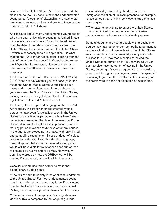visa here in the United States. After it is approved, the file is sent to the U.S. consulates in the undocumented young person's country of citizenship, and he/she can then choose to leave and apply there for d3 permission to return in valid H-1B status.

As explained above, most undocumented young people who have been unlawfully present in the United States for one year or more face a 10-year bar to admission from the date of their departure or removal from the United States. Thus, departure from the United States – which is necessary for a d-3 application – is what triggers the 10-year bar, which starts clocking from the date of departure. A successful d-3 application removes the 10-year bar for temporary visa purposes only. In other words, the 10-year bar remains for green card purposes.

The law about the 3- and 10-year bars, INA  $\S 212(a)$ (9)(B), does not say whether you can serve your time *inside* the United States. Some unpublished court cases and a couple of guidance letters indicate that you can spend the 3 or 10 years in the United States, as long as you are in legal status. The H-1B counts as legal status – Deferred Action does not.

The latest, House-approved language of the DREAM Act requires, in part, for an undocumented young person to have been "physically present in the United States for a continuous period of not less than 5 years immediately preceding the date of the enactment." The House bill allows for brief breaks in presence, but not "for any period in excess of 90 days or for any periods in the aggregate exceeding 180 days," with only limited and compelling exceptions – illness or death of a close relative, for instance. Under this statutory language, it would appear that an undocumented young person would still be eligible for relief after a short trip abroad to secure a d3 waiver and H-1B visa. However, we don't know precisely how the DREAM Act will be worded if it is passed, or how it will be interpreted.

Consular officers use three criteria to make their discretionary d3 decisions:

\*\*The risk of harm to society if the applicant is admitted to the United States. For most undocumented young people, their risk of harm to society is low if they intend to enter the United States as a working professional. Rather, there may be a potential benefit to U.S. society.

\*\*The seriousness of the applicant's immigration law violation. This is compared to the range of grounds

of inadmissibility covered by the d3 waiver. The immigration violation of unlawful presence, for example, is less serious than criminal convictions, drug offenses, or smuggling.

\*\*The reasons for wishing to enter the United States. This is not limited to exceptional or humanitarian circumstances, but covers any legitimate purpose.

Some undocumented young people with a bachelor's degree may have other longer-term paths to permanent residence that do not involve leaving the United States. As an example, an undocumented young person who qualifies for 245i may face a choice of leaving the United States to pursue an H-1B visa with d3 waiver, but may also have the option of staying in the United States, pursuing a Masters degree, and then seeking a green card through an employer sponsor. The speed of becoming legal, the effort involved in the process, and the risk/reward of each option should be considered.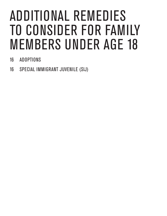## ADDITIONAL REMEDIES TO CONSIDER FOR FAMILY MEMBERS UNDER AGE 18

- 16 ADOPTIONS
- 16 SPECIAL IMMIGRANT JUVENILE (SIJ)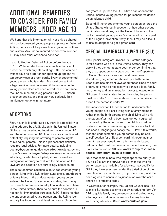## ADDITIONAL REMEDIES TO CONSIDER FOR FAMILY MEMBERS UNDER AGE 18

We hope that this information will not only be shared with undocumented young people applying for Deferred Action, but also will be passed on to younger brothers and sisters. Any undocumented person who is under 18 may have other options to consider.

If a child filed for Deferred Action before the age of 18 1/2, he or she has not accumulated unlawful presence (which only starts at age 18). This can be a tremendous help later on for opening up options for temporary visas or green cards. Every undocumented young person who is under 18 should consult with a legal service provider – even if the undocumented young person does not need a work card now. Once the undocumented young person turns 18, unlawful presence begins, and that can very seriously limit immigration options in the future.

#### ADOPTIONS

First, if a child is under age 16, there is a possibility of being adopted by a U.S. citizen in the United States. Siblings may be adopted together if one is under 16 and the other is under 18. Adoptions are complicated, potentially requiring the severing of parental rights of biological parents. This is a process that definitely requires legal advice. For more details, including country-by-country guides, see <adoption.state.gov> and https://www.uscis.gov/adoption. Anyone considered adopting, or who has adopted, should consult an immigration attorney to evaluate the situation as the laws around adoption are surprisingly complicated.

The most common situation is an undocumented young person living with a U.S. citizen aunt, uncle, grandparent or family friend. If the undocumented young person entered the United States in legal status, then it may be possible to process an adoption in state court here in the United States. Then, to be sure the adoption is not just for immigration purposes, USCIS requires that the undocumented young person and the U.S. citizen actually live together for at least two years. Once the

two years is up, then the U.S. citizen can sponsor the undocumented young person for permanent residence as an adopted child.

Second, if the undocumented young person entered the United States without inspection, or has other serious immigration violations, or if the United States and the undocumented young person's country of birth are part of the Hague Convention treaty, then it may be difficult to use an adoption to get a green card.

#### SPECIAL IMMIGRANT JUVENILE (SIJ)

The Special Immigrant Juvenile (SIJ) status category is for children who are in the United States. They can apply if they can get a state court order confirming that they are dependent on a state court or the Department of Social Services for support, and have been abandoned, neglected or abused by a birth parent. Each state has different laws about these kinds of court orders, so it may be necessary to consult a local family law attorney and an immigration lawyer to evaluate an SIJ case. In most states, to get the order, the person must be under 18. In some states, courts can issue the order if the person is under 21.

The most common SIJ scenarios for undocumented young people are a child living with a family member rather than the birth parents or a child living with only one parent after having been abandoned, neglected or abused by the other parent. The child can petition in state court for a permanent guardianship order that has special language to satisfy the SIJ law. If this works, then the undocumented young person may be able to self-petition for a SIJ green card (although neither parent may ever benefit from a future family-based petition if that child becomes a permanent resident). For more information on SIJ, see [www.ilrc.org/resources/](file:///Users/adrienneaquino/Documents/Ade_Business/Jobs/E4FC/Guides/Beyond%20Deferred%20Action/links/www.ilrc.org/resources/special-immigrant-juvenile-status-sijs) [special-immigrant-juvenile-status-sijs](file:///Users/adrienneaquino/Documents/Ade_Business/Jobs/E4FC/Guides/Beyond%20Deferred%20Action/links/www.ilrc.org/resources/special-immigrant-juvenile-status-sijs).

Note that some minors who might appear to qualify for a U-visa (i.e. are the survivor of a crime) but who for some reason are ineligible for a U-visa, may qualify for SIJ if they have ever been under the jurisdiction of the juvenile court (or family court, or probate court) and the court agrees to continue its jurisdiction over the child and file a 'predicate order.'

In California, for example, the Judicial Council has tried to make SIJ status easier to get by introducing form [JV-](http://www.courts.ca.gov/documents/jv224.pdf)[224](http://www.courts.ca.gov/documents/jv224.pdf) to guide family law, dependency and delinquency attorneys and judges who may not be very familiar with immigration law. (See: [www.courts.ca.gov/](http://www.courts.ca.gov/documents/jv224.pdf)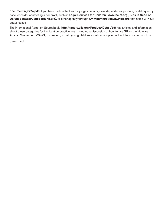[documents/jv224.pdf](http://www.courts.ca.gov/documents/jv224.pdf)) If you have had contact with a judge in a family law, dependency, probate, or delinquency case, consider contacting a nonprofit, such as [Legal Services for Children](http://www.lsc-sf.org) (<www.lsc><-sf.org>), Kids in Need of Defense (https://supportkind.org), or other agency through [www.ImmigrationLawHelp.org](file:///Users/adrienneaquino/Documents/Ade_Business/Jobs/E4FC/Guides/Beyond%20Deferred%20Action/links/www.ImmigrationLawHelp.org) that helps with SIJ status cases.

The International Adoption Sourcebook (<http://agora.aila.org/Product/Detail/75>) has articles and information about these categories for immigration practitioners, including a discussion of how to use SIJ, or the Violence Against Women Act (VAWA), or asylum, to help young children for whom adoption will not be a viable path to a

green card.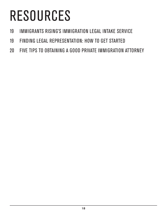# RESOURCES

- IMMIGRANTS RISING'S IMMIGRATION LEGAL INTAKE SERVICE
- FINDING LEGAL REPRESENTATION: HOW TO GET STARTED
- FIVE TIPS TO OBTAINING A GOOD PRIVATE IMMIGRATION ATTORNEY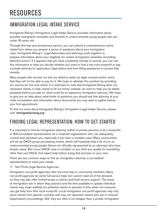#### IMMIGRATION LEGAL INTAKE SERVICE

Immigrants Rising's Immigration Legal Intake Service provides information about possible immigration remedies and benefits to undocumented young people who are under 35 years old.

Through this free and anonymous service, you can submit a comprehensive online intake form where you answer a series of questions about your immigration case. Immigrants Rising's Legal Advocates and attorneys work together to prepare information about your eligibility for certain immigration remedies (including deferred action). If it appears that you have a potential remedy to pursue, you can use this information to help you decide whether you want to find a low-cost nonprofit or pay a private attorney for application legal advice and form-filling assistance to pursue that remedy.

Many people who access our site are afraid to seek out legal counsel and/or worry that they will not be able to pay for it. We hope to alleviate this problem by providing our service for free and online. It is important to note that Immigrants Rising does not represent clients or help clients to fill out forms; instead, we want to help you be better prepared before you pay for what could be an expensive immigration attorney. We hope to give you an idea about what kinds of questions you should ask that attorney at your initial consultation and information about documents you may want to gather before your first appointment.

To find out more about Immigrants Rising's Immigration Legal Intake Service, please visit: immigrantsrising.org

### FINDING LEGAL REPRESENTATION: HOW TO GET STARTED

It is important to find an immigration attorney (either in private practice or at a nonprofit) or BIA accredited representative (at a nonprofit organization) who can adequately consult and represent you, especially if you have a complex case. Many communities will set up DACA group processing events, which will hopefully help a lot of *pro se* undocumented young people (those not officially represented by an attorney) who have simple cases. But if your DACA case is complex, or you think you qualify for something other than just DACA, find expert help before trying that process on your own.

There are two common ways to find an immigration attorney or accredited representative to meet your needs:

1) Non-Profit Legal Service Agencies

Immigration non-profit agencies offer low-cost help to community members. Many non-profit agencies do some full-service help, but cannot meet all of the demand, so they may also offer limited-scope or advice and brief service support. The areas of immigration law in which they practice and the time available to update individual clients may mean waitlists for potential clients or periods of time when not everyone can get help from their local nonprofit. Local immigration non-profit agencies may only serve clients from specific counties and may not represent clients who are in removal (deportation) proceedings. Still, they are often a lot cheaper than a private immigration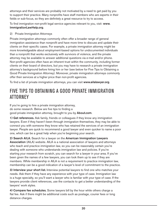attorneys and their services are probably not motivated by a need to get paid by you to support their practice. Many nonprofits have staff members who are experts in their fields or sub-focus, so they are definitely a great resource to try to access.

To find immigration non-profit legal service agencies relevant to you, visit: [www.](http://www.ImmigrationLawHelp.org/) [ImmigrationLawHelp.org](http://www.ImmigrationLawHelp.org/).

2) Private Immigration Attorneys

Private immigration attorneys commonly often offer a broader range of general immigration assistance than nonprofit and have more time to discuss and update their clients on their specific cases. For example, a private immigration attorney might be more knowledgeable about employment-based options for undocumented individuals than a nonprofit that works exclusively with survivors of violence, and the private attorney may be available to answer additional questions via e-mail and/or phone. Non-profit agencies often have an inherent trust within the community, including former clients on their board of directors, but you may have to research a private immigration attorney's background before hiring him or her (see below for Five Tips to Obtaining a Good Private Immigration Attorney). Moreover, private immigration attorneys commonly offer their services at a higher price than non-profit agencies.

To find a list of private immigration attorneys, you can visit [www.ailalawyer.org](http://www.ailalawyer.org/).

#### FIVE TIPS TO OBTAINING A GOOD PRIVATE IMMIGRATION ATTORNEY

If you're going to hire a private immigration attorney, do some research. Below are five tips to finding a good private immigration attorney, brought to you by **<About.com>**.

1) Get references. Ask family, friends or colleagues if they know any immigration lawyers. Even if they haven't been through immigration themselves, they may be able to connect you with someone they know who has retained the services of an immigration lawyer. People are quick to recommend a good lawyer and even quicker to name a poor one, which can be a great help when you're beginning your search.

2) Search AILA. Search for a lawyer on the [American Immigration Lawyers](http://www.aila.org/)  [Association](http://www.aila.org/) (AILA) website. AILA is a national association of lawyers and attorneys who teach and practice immigration law, so you can be reasonably certain you're dealing with someone who understands immigration law and policies. If you're starting your research from scratch, you can search for a lawyer in your area. If you've been given the names of a few lawyers, you can look them up to see if they are members. While membership in AILA is not a requirement to practice immigration law, membership can be a good indication of a lawyer's level of commitment to the practice.

3) Interview your short list. Interview potential lawyers to find one who matches your needs. Ask them if they have any experience with your type of case. Immigration law is a huge specialty, so you'll want a lawyer who is familiar with your type of case. If the lawyers provide client references, use the contacts to get a better understanding of the lawyers' work styles.

4) Compare fee schedules. Some lawyers bill by the hour while others charge a flat fee. Ask if there might be additional costs such as postage, courier fees or long distance charges.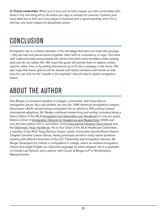5) Check credentials. When you're sure you've find a lawyer you feel comfortable with, there's only one thing left to do before you sign a contract for services. Contact your local state bar to find out if your lawyer is licensed and in good standing, and if he or she has ever been subject to disciplinary action.

## **CONCLUSION**

Immigration law is a classic example of the old adage that laws are made like sausage – they are bits and pieces bound together often with no consistency or logic. Our work with undocumented young people has shown that some have remedies under existing laws and do not realize this. We hope this guide will prompt them to explore certain options, either now, or by setting themselves up to fit into a category in the future. We also hope that these options will be shared with family members and friends so that they too can look for the "needle in the haystack" that will lead to lawful immigration status.

## ABOUT THE AUTHOR

Dan Berger is a frequent speaker at colleges, universities, and nonprofits on immigration issues. As a law student, he won the 1995 American Immigration Lawyers Association (AILA) annual writing competition for an article on INS policies toward international adoptions. Mr. Berger continued researching and writing, including being a Senior Editor of the AILA Immigration and Nationality Law Handbook for over ten years, Editor-in-Chief of Immigration Options for Academics and Researchers (2005 and now the new edition 2011), and Editor of the International Adoption Sourcebook and the Diplomatic Visas Handbook. He is Vice Chair of the AILA Healthcare Committee, a member of the AILA Texas Service Center Liaison Committee and the Rome District Chapter Consular Liaison Group, having previously served in many liaison positions working with different branches of the U.S. Citizenship and Immigration Service. Mr. Berger developed his interest in immigration in college, where he studied immigration history and taught English as a Second Language for adult refugees. He is a graduate of Cornell Law School, and a partner with Curran & Berger LLP in Northampton, Massachusetts.